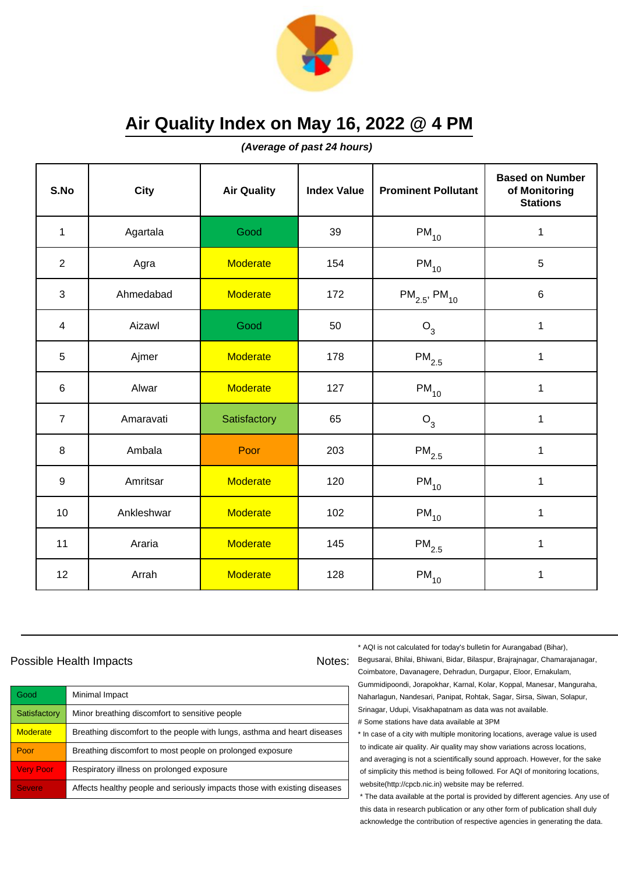

**(Average of past 24 hours)**

| S.No           | <b>City</b> | <b>Air Quality</b> | <b>Index Value</b> | <b>Prominent Pollutant</b>    | <b>Based on Number</b><br>of Monitoring<br><b>Stations</b> |
|----------------|-------------|--------------------|--------------------|-------------------------------|------------------------------------------------------------|
| $\mathbf{1}$   | Agartala    | Good               | 39                 | $PM_{10}$                     | $\mathbf{1}$                                               |
| $\overline{2}$ | Agra        | <b>Moderate</b>    | 154                | $\mathsf{PM}_{10}$            | 5                                                          |
| 3              | Ahmedabad   | <b>Moderate</b>    | 172                | $PM_{2.5}$ , PM <sub>10</sub> | $\,6$                                                      |
| $\overline{4}$ | Aizawl      | Good               | 50                 | $O_3$                         | $\mathbf{1}$                                               |
| 5              | Ajmer       | <b>Moderate</b>    | 178                | $PM_{2.5}$                    | $\mathbf{1}$                                               |
| 6              | Alwar       | <b>Moderate</b>    | 127                | $PM_{10}$                     | 1                                                          |
| $\overline{7}$ | Amaravati   | Satisfactory       | 65                 | $O_3$                         | 1                                                          |
| 8              | Ambala      | Poor               | 203                | $PM_{2.5}$                    | 1                                                          |
| 9              | Amritsar    | Moderate           | 120                | $PM_{10}$                     | $\mathbf{1}$                                               |
| 10             | Ankleshwar  | <b>Moderate</b>    | 102                | $PM_{10}$                     | $\mathbf{1}$                                               |
| 11             | Araria      | <b>Moderate</b>    | 145                | $\mathsf{PM}_{2.5}$           | 1                                                          |
| 12             | Arrah       | <b>Moderate</b>    | 128                | $PM_{10}$                     | 1                                                          |

## Possible Health Impacts

| Good                | Minimal Impact                                                            |
|---------------------|---------------------------------------------------------------------------|
| Satisfactory        | Minor breathing discomfort to sensitive people                            |
| <b>Moderate</b>     | Breathing discomfort to the people with lungs, asthma and heart diseases  |
| Poor                | Breathing discomfort to most people on prolonged exposure                 |
| <b>Very Poor</b>    | Respiratory illness on prolonged exposure                                 |
| Severe <sup>'</sup> | Affects healthy people and seriously impacts those with existing diseases |

\* AQI is not calculated for today's bulletin for Aurangabad (Bihar),

Notes: Begusarai, Bhilai, Bhiwani, Bidar, Bilaspur, Brajrajnagar, Chamarajanagar, Coimbatore, Davanagere, Dehradun, Durgapur, Eloor, Ernakulam, Gummidipoondi, Jorapokhar, Karnal, Kolar, Koppal, Manesar, Manguraha, Naharlagun, Nandesari, Panipat, Rohtak, Sagar, Sirsa, Siwan, Solapur, Srinagar, Udupi, Visakhapatnam as data was not available. # Some stations have data available at 3PM

> \* In case of a city with multiple monitoring locations, average value is used to indicate air quality. Air quality may show variations across locations, and averaging is not a scientifically sound approach. However, for the sake of simplicity this method is being followed. For AQI of monitoring locations, website(http://cpcb.nic.in) website may be referred.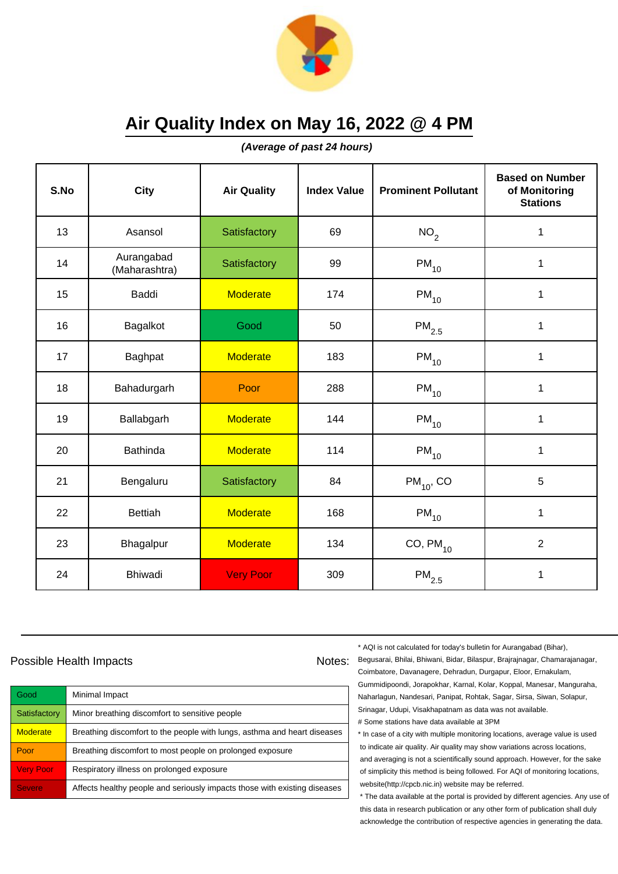

**(Average of past 24 hours)**

| S.No | <b>City</b>                 | <b>Air Quality</b> | <b>Index Value</b> | <b>Prominent Pollutant</b> | <b>Based on Number</b><br>of Monitoring<br><b>Stations</b> |
|------|-----------------------------|--------------------|--------------------|----------------------------|------------------------------------------------------------|
| 13   | Asansol                     | Satisfactory       | 69                 | NO <sub>2</sub>            | 1                                                          |
| 14   | Aurangabad<br>(Maharashtra) | Satisfactory       | 99                 | $PM_{10}$                  | 1                                                          |
| 15   | Baddi                       | <b>Moderate</b>    | 174                | $PM_{10}$                  | 1                                                          |
| 16   | Bagalkot                    | Good               | 50                 | $\mathsf{PM}_{2.5}$        | 1                                                          |
| 17   | Baghpat                     | <b>Moderate</b>    | 183                | $PM_{10}$                  | $\mathbf{1}$                                               |
| 18   | Bahadurgarh                 | Poor               | 288                | $PM_{10}$                  | 1                                                          |
| 19   | Ballabgarh                  | <b>Moderate</b>    | 144                | $PM_{10}$                  | 1                                                          |
| 20   | <b>Bathinda</b>             | <b>Moderate</b>    | 114                | $PM_{10}$                  | 1                                                          |
| 21   | Bengaluru                   | Satisfactory       | 84                 | $PM_{10}$ , CO             | 5                                                          |
| 22   | <b>Bettiah</b>              | <b>Moderate</b>    | 168                | $PM_{10}$                  | 1                                                          |
| 23   | Bhagalpur                   | <b>Moderate</b>    | 134                | $CO, PM_{10}$              | $\overline{2}$                                             |
| 24   | <b>Bhiwadi</b>              | <b>Very Poor</b>   | 309                | $\mathsf{PM}_{2.5}$        | 1                                                          |

## Possible Health Impacts

| Good             | Minimal Impact                                                            |
|------------------|---------------------------------------------------------------------------|
| Satisfactory     | Minor breathing discomfort to sensitive people                            |
| <b>Moderate</b>  | Breathing discomfort to the people with lungs, asthma and heart diseases  |
| Poor             | Breathing discomfort to most people on prolonged exposure                 |
| <b>Very Poor</b> | Respiratory illness on prolonged exposure                                 |
| <b>Severe</b>    | Affects healthy people and seriously impacts those with existing diseases |

\* AQI is not calculated for today's bulletin for Aurangabad (Bihar),

Notes: Begusarai, Bhilai, Bhiwani, Bidar, Bilaspur, Brajrajnagar, Chamarajanagar, Coimbatore, Davanagere, Dehradun, Durgapur, Eloor, Ernakulam, Gummidipoondi, Jorapokhar, Karnal, Kolar, Koppal, Manesar, Manguraha, Naharlagun, Nandesari, Panipat, Rohtak, Sagar, Sirsa, Siwan, Solapur, Srinagar, Udupi, Visakhapatnam as data was not available. # Some stations have data available at 3PM

> \* In case of a city with multiple monitoring locations, average value is used to indicate air quality. Air quality may show variations across locations, and averaging is not a scientifically sound approach. However, for the sake of simplicity this method is being followed. For AQI of monitoring locations, website(http://cpcb.nic.in) website may be referred.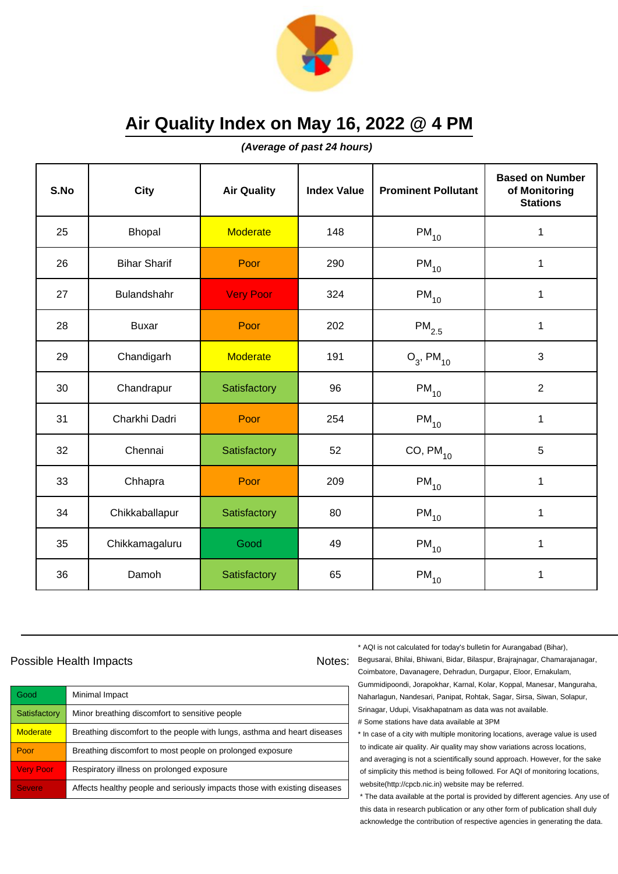

**(Average of past 24 hours)**

| S.No | City                | <b>Air Quality</b> | <b>Index Value</b> | <b>Prominent Pollutant</b> | <b>Based on Number</b><br>of Monitoring<br><b>Stations</b> |
|------|---------------------|--------------------|--------------------|----------------------------|------------------------------------------------------------|
| 25   | <b>Bhopal</b>       | <b>Moderate</b>    | 148                | $PM_{10}$                  | 1                                                          |
| 26   | <b>Bihar Sharif</b> | Poor               | 290                | $PM_{10}$                  | 1                                                          |
| 27   | Bulandshahr         | <b>Very Poor</b>   | 324                | $PM_{10}$                  | 1                                                          |
| 28   | <b>Buxar</b>        | Poor               | 202                | $\mathsf{PM}_{2.5}$        | 1                                                          |
| 29   | Chandigarh          | <b>Moderate</b>    | 191                | $O_3$ , PM <sub>10</sub>   | 3                                                          |
| 30   | Chandrapur          | Satisfactory       | 96                 | $PM_{10}$                  | $\overline{2}$                                             |
| 31   | Charkhi Dadri       | Poor               | 254                | $PM_{10}$                  | $\mathbf{1}$                                               |
| 32   | Chennai             | Satisfactory       | 52                 | $CO, PM_{10}$              | 5                                                          |
| 33   | Chhapra             | Poor               | 209                | $PM_{10}$                  | $\mathbf 1$                                                |
| 34   | Chikkaballapur      | Satisfactory       | 80                 | $PM_{10}$                  | 1                                                          |
| 35   | Chikkamagaluru      | Good               | 49                 | $PM_{10}$                  | 1                                                          |
| 36   | Damoh               | Satisfactory       | 65                 | $\mathsf{PM}_{10}$         | 1                                                          |

## Possible Health Impacts

| Good             | Minimal Impact                                                            |
|------------------|---------------------------------------------------------------------------|
| Satisfactory     | Minor breathing discomfort to sensitive people                            |
| <b>Moderate</b>  | Breathing discomfort to the people with lungs, asthma and heart diseases  |
| Poor             | Breathing discomfort to most people on prolonged exposure                 |
| <b>Very Poor</b> | Respiratory illness on prolonged exposure                                 |
| <b>Severe</b>    | Affects healthy people and seriously impacts those with existing diseases |

\* AQI is not calculated for today's bulletin for Aurangabad (Bihar),

Notes: Begusarai, Bhilai, Bhiwani, Bidar, Bilaspur, Brajrajnagar, Chamarajanagar, Coimbatore, Davanagere, Dehradun, Durgapur, Eloor, Ernakulam, Gummidipoondi, Jorapokhar, Karnal, Kolar, Koppal, Manesar, Manguraha, Naharlagun, Nandesari, Panipat, Rohtak, Sagar, Sirsa, Siwan, Solapur, Srinagar, Udupi, Visakhapatnam as data was not available. # Some stations have data available at 3PM

> \* In case of a city with multiple monitoring locations, average value is used to indicate air quality. Air quality may show variations across locations, and averaging is not a scientifically sound approach. However, for the sake of simplicity this method is being followed. For AQI of monitoring locations, website(http://cpcb.nic.in) website may be referred.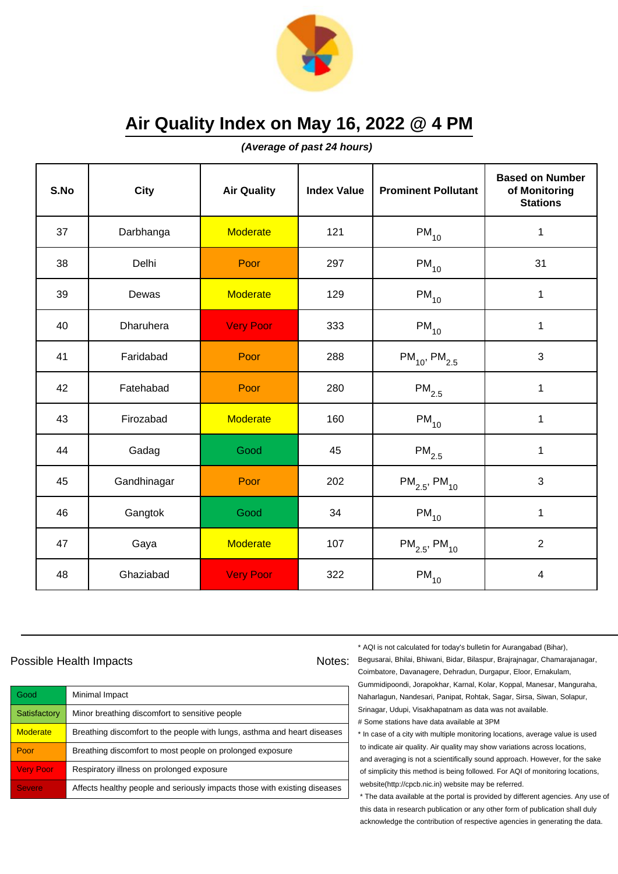

**(Average of past 24 hours)**

| S.No | City        | <b>Air Quality</b> | <b>Index Value</b> | <b>Prominent Pollutant</b>    | <b>Based on Number</b><br>of Monitoring<br><b>Stations</b> |
|------|-------------|--------------------|--------------------|-------------------------------|------------------------------------------------------------|
| 37   | Darbhanga   | <b>Moderate</b>    | 121                | $PM_{10}$                     | $\mathbf 1$                                                |
| 38   | Delhi       | Poor               | 297                | $PM_{10}$                     | 31                                                         |
| 39   | Dewas       | <b>Moderate</b>    | 129                | $PM_{10}$                     | 1                                                          |
| 40   | Dharuhera   | <b>Very Poor</b>   | 333                | $PM_{10}$                     | $\mathbf 1$                                                |
| 41   | Faridabad   | Poor               | 288                | $PM_{10}$ , $PM_{2.5}$        | 3                                                          |
| 42   | Fatehabad   | Poor               | 280                | $\mathsf{PM}_{2.5}$           | $\mathbf 1$                                                |
| 43   | Firozabad   | <b>Moderate</b>    | 160                | $PM_{10}$                     | $\mathbf{1}$                                               |
| 44   | Gadag       | Good               | 45                 | $PM_{2.5}$                    | 1                                                          |
| 45   | Gandhinagar | Poor               | 202                | $PM_{2.5}$ , PM <sub>10</sub> | 3                                                          |
| 46   | Gangtok     | Good               | 34                 | $PM_{10}$                     | $\mathbf 1$                                                |
| 47   | Gaya        | <b>Moderate</b>    | 107                | $PM_{2.5}$ , PM <sub>10</sub> | $\overline{2}$                                             |
| 48   | Ghaziabad   | <b>Very Poor</b>   | 322                | $\mathsf{PM}_{10}$            | $\overline{\mathbf{4}}$                                    |

## Possible Health Impacts Notes:

Good Minimal Impact Satisfactory | Minor breathing discomfort to sensitive people  $M$ oderate  $\blacksquare$  Breathing discomfort to the people with lungs, asthma and heart diseases **Poor** Breathing discomfort to most people on prolonged exposure Very Poor Respiratory illness on prolonged exposure Severe **Affects healthy people and seriously impacts those with existing diseases** 

\* AQI is not calculated for today's bulletin for Aurangabad (Bihar),

Begusarai, Bhilai, Bhiwani, Bidar, Bilaspur, Brajrajnagar, Chamarajanagar, Coimbatore, Davanagere, Dehradun, Durgapur, Eloor, Ernakulam, Gummidipoondi, Jorapokhar, Karnal, Kolar, Koppal, Manesar, Manguraha, Naharlagun, Nandesari, Panipat, Rohtak, Sagar, Sirsa, Siwan, Solapur, Srinagar, Udupi, Visakhapatnam as data was not available. # Some stations have data available at 3PM

\* In case of a city with multiple monitoring locations, average value is used to indicate air quality. Air quality may show variations across locations, and averaging is not a scientifically sound approach. However, for the sake of simplicity this method is being followed. For AQI of monitoring locations, website(http://cpcb.nic.in) website may be referred.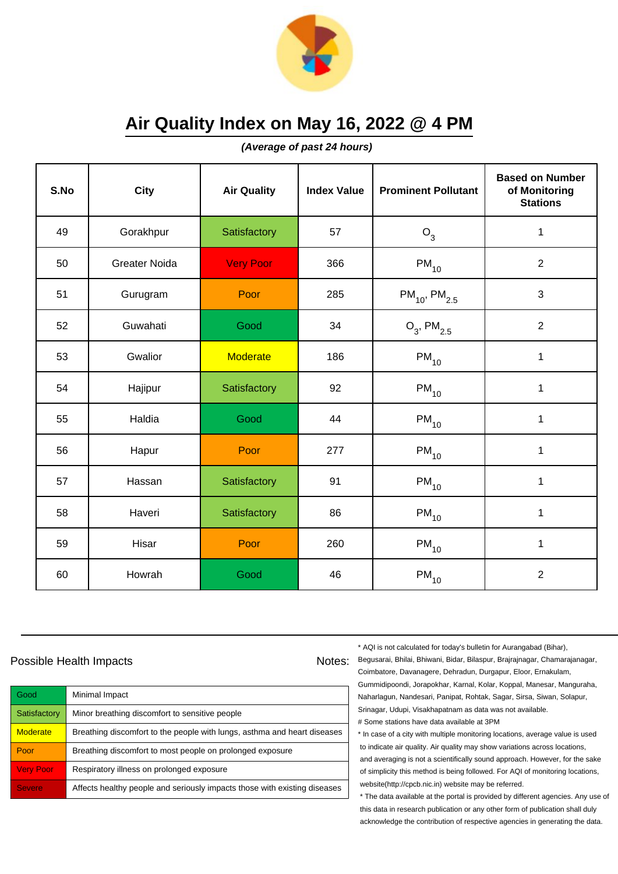

**(Average of past 24 hours)**

| S.No | <b>City</b>          | <b>Air Quality</b> | <b>Index Value</b> | <b>Prominent Pollutant</b>    | <b>Based on Number</b><br>of Monitoring<br><b>Stations</b> |
|------|----------------------|--------------------|--------------------|-------------------------------|------------------------------------------------------------|
| 49   | Gorakhpur            | Satisfactory       | 57                 | $O_3$                         | 1                                                          |
| 50   | <b>Greater Noida</b> | <b>Very Poor</b>   | 366                | $PM_{10}$                     | 2                                                          |
| 51   | Gurugram             | Poor               | 285                | $PM_{10}$ , PM <sub>2.5</sub> | $\mathbf{3}$                                               |
| 52   | Guwahati             | Good               | 34                 | $O_3$ , PM <sub>2.5</sub>     | $\overline{2}$                                             |
| 53   | Gwalior              | <b>Moderate</b>    | 186                | $PM_{10}$                     | $\mathbf{1}$                                               |
| 54   | Hajipur              | Satisfactory       | 92                 | $PM_{10}$                     | 1                                                          |
| 55   | Haldia               | Good               | 44                 | $PM_{10}$                     | $\mathbf{1}$                                               |
| 56   | Hapur                | Poor               | 277                | $PM_{10}$                     | 1                                                          |
| 57   | Hassan               | Satisfactory       | 91                 | $PM_{10}$                     | $\mathbf 1$                                                |
| 58   | Haveri               | Satisfactory       | 86                 | $PM_{10}$                     | $\mathbf{1}$                                               |
| 59   | Hisar                | Poor               | 260                | $PM_{10}$                     | 1                                                          |
| 60   | Howrah               | Good               | 46                 | $\mathsf{PM}_{10}$            | $\overline{2}$                                             |

## Possible Health Impacts Notes:

Good Minimal Impact Satisfactory | Minor breathing discomfort to sensitive people  $M$ oderate  $\blacksquare$  Breathing discomfort to the people with lungs, asthma and heart diseases **Poor** Breathing discomfort to most people on prolonged exposure Very Poor Respiratory illness on prolonged exposure Severe **Affects healthy people and seriously impacts those with existing diseases**  \* AQI is not calculated for today's bulletin for Aurangabad (Bihar),

Begusarai, Bhilai, Bhiwani, Bidar, Bilaspur, Brajrajnagar, Chamarajanagar, Coimbatore, Davanagere, Dehradun, Durgapur, Eloor, Ernakulam, Gummidipoondi, Jorapokhar, Karnal, Kolar, Koppal, Manesar, Manguraha, Naharlagun, Nandesari, Panipat, Rohtak, Sagar, Sirsa, Siwan, Solapur, Srinagar, Udupi, Visakhapatnam as data was not available. # Some stations have data available at 3PM

\* In case of a city with multiple monitoring locations, average value is used to indicate air quality. Air quality may show variations across locations, and averaging is not a scientifically sound approach. However, for the sake of simplicity this method is being followed. For AQI of monitoring locations, website(http://cpcb.nic.in) website may be referred.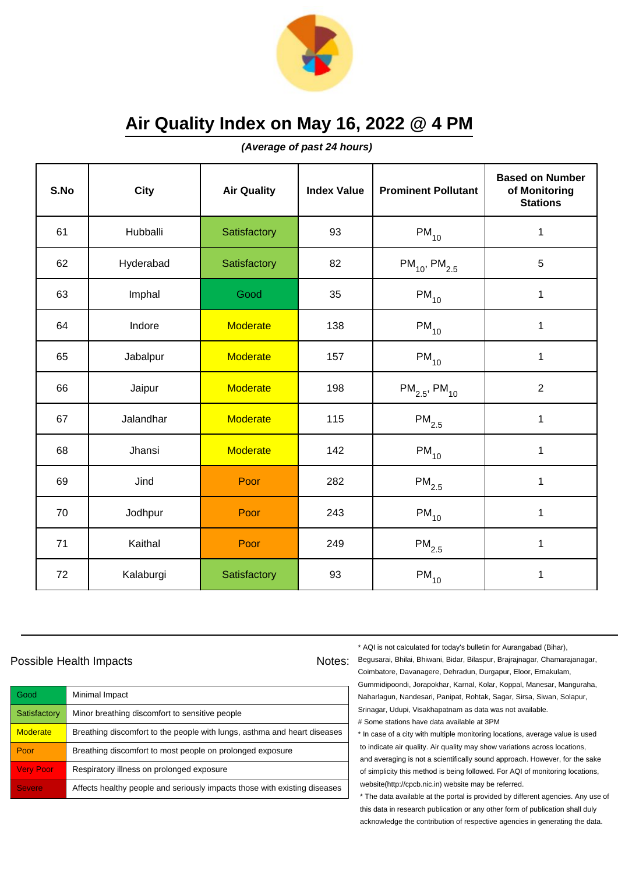

**(Average of past 24 hours)**

| S.No | City      | <b>Air Quality</b> | <b>Index Value</b> | <b>Prominent Pollutant</b>    | <b>Based on Number</b><br>of Monitoring<br><b>Stations</b> |
|------|-----------|--------------------|--------------------|-------------------------------|------------------------------------------------------------|
| 61   | Hubballi  | Satisfactory       | 93                 | $PM_{10}$                     | $\mathbf 1$                                                |
| 62   | Hyderabad | Satisfactory       | 82                 | $PM_{10}$ , PM <sub>2.5</sub> | 5                                                          |
| 63   | Imphal    | Good               | 35                 | $PM_{10}$                     | 1                                                          |
| 64   | Indore    | <b>Moderate</b>    | 138                | $PM_{10}$                     | $\mathbf{1}$                                               |
| 65   | Jabalpur  | <b>Moderate</b>    | 157                | $PM_{10}$                     | $\mathbf{1}$                                               |
| 66   | Jaipur    | <b>Moderate</b>    | 198                | $PM_{2.5}$ , PM <sub>10</sub> | $\overline{2}$                                             |
| 67   | Jalandhar | <b>Moderate</b>    | 115                | $\mathsf{PM}_{2.5}$           | $\mathbf{1}$                                               |
| 68   | Jhansi    | <b>Moderate</b>    | 142                | $PM_{10}$                     | 1                                                          |
| 69   | Jind      | Poor               | 282                | $PM_{2.5}$                    | $\mathbf 1$                                                |
| 70   | Jodhpur   | Poor               | 243                | $PM_{10}$                     | $\mathbf 1$                                                |
| 71   | Kaithal   | Poor               | 249                | $\mathsf{PM}_{2.5}$           | 1                                                          |
| 72   | Kalaburgi | Satisfactory       | 93                 | $PM_{10}$                     | 1                                                          |

## Possible Health Impacts

| Good             | Minimal Impact                                                            |
|------------------|---------------------------------------------------------------------------|
| Satisfactory     | Minor breathing discomfort to sensitive people                            |
| <b>Moderate</b>  | Breathing discomfort to the people with lungs, asthma and heart diseases  |
| Poor             | Breathing discomfort to most people on prolonged exposure                 |
| <b>Very Poor</b> | Respiratory illness on prolonged exposure                                 |
| <b>Severe</b>    | Affects healthy people and seriously impacts those with existing diseases |

\* AQI is not calculated for today's bulletin for Aurangabad (Bihar),

Notes: Begusarai, Bhilai, Bhiwani, Bidar, Bilaspur, Brajrajnagar, Chamarajanagar, Coimbatore, Davanagere, Dehradun, Durgapur, Eloor, Ernakulam, Gummidipoondi, Jorapokhar, Karnal, Kolar, Koppal, Manesar, Manguraha, Naharlagun, Nandesari, Panipat, Rohtak, Sagar, Sirsa, Siwan, Solapur, Srinagar, Udupi, Visakhapatnam as data was not available. # Some stations have data available at 3PM

> \* In case of a city with multiple monitoring locations, average value is used to indicate air quality. Air quality may show variations across locations, and averaging is not a scientifically sound approach. However, for the sake of simplicity this method is being followed. For AQI of monitoring locations, website(http://cpcb.nic.in) website may be referred.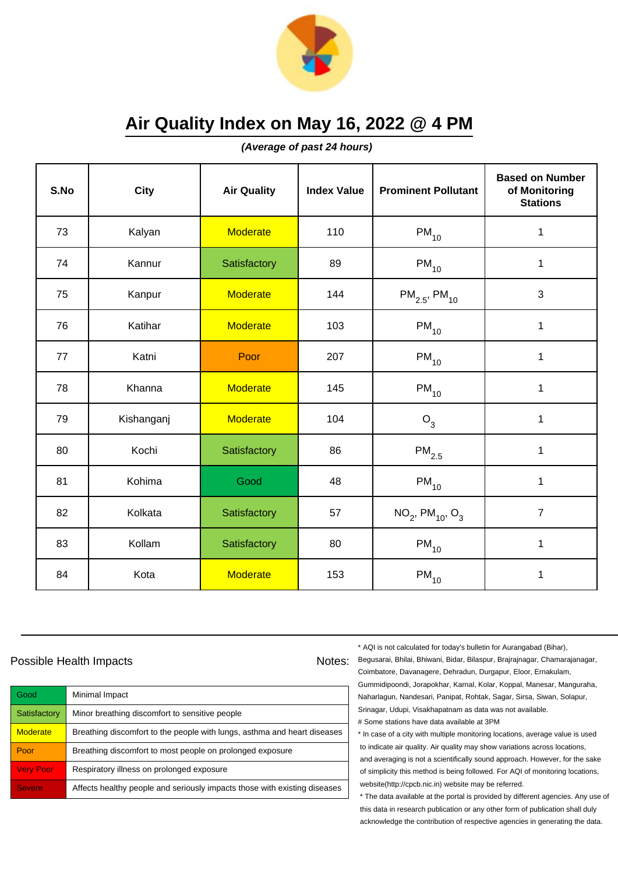

**(Average of past 24 hours)**

| S.No | City       | <b>Air Quality</b> | <b>Index Value</b> | <b>Prominent Pollutant</b>                 | <b>Based on Number</b><br>of Monitoring<br><b>Stations</b> |
|------|------------|--------------------|--------------------|--------------------------------------------|------------------------------------------------------------|
| 73   | Kalyan     | <b>Moderate</b>    | 110                | $PM_{10}$                                  | $\mathbf 1$                                                |
| 74   | Kannur     | Satisfactory       | 89                 | $PM_{10}$                                  | 1                                                          |
| 75   | Kanpur     | <b>Moderate</b>    | 144                | $PM_{2.5}$ , PM <sub>10</sub>              | 3                                                          |
| 76   | Katihar    | <b>Moderate</b>    | 103                | $PM_{10}$                                  | $\mathbf{1}$                                               |
| 77   | Katni      | Poor               | 207                | $PM_{10}$                                  | $\mathbf{1}$                                               |
| 78   | Khanna     | <b>Moderate</b>    | 145                | $\mathsf{PM}_{10}$                         | $\mathbf{1}$                                               |
| 79   | Kishanganj | <b>Moderate</b>    | 104                | $O_3$                                      | $\mathbf{1}$                                               |
| 80   | Kochi      | Satisfactory       | 86                 | $PM_{2.5}$                                 | 1                                                          |
| 81   | Kohima     | Good               | 48                 | $PM_{10}$                                  | $\mathbf 1$                                                |
| 82   | Kolkata    | Satisfactory       | 57                 | $NO_2$ , PM <sub>10</sub> , O <sub>3</sub> | $\overline{7}$                                             |
| 83   | Kollam     | Satisfactory       | 80                 | $PM_{10}$                                  | $\mathbf{1}$                                               |
| 84   | Kota       | <b>Moderate</b>    | 153                | $PM_{10}$                                  | 1                                                          |

## Possible Health Impacts

| Good             | Minimal Impact                                                            |
|------------------|---------------------------------------------------------------------------|
| Satisfactory     | Minor breathing discomfort to sensitive people                            |
| <b>Moderate</b>  | Breathing discomfort to the people with lungs, asthma and heart diseases  |
| Poor             | Breathing discomfort to most people on prolonged exposure                 |
| <b>Very Poor</b> | Respiratory illness on prolonged exposure                                 |
| <b>Severe</b>    | Affects healthy people and seriously impacts those with existing diseases |

\* AQI is not calculated for today's bulletin for Aurangabad (Bihar),

Notes: Begusarai, Bhilai, Bhiwani, Bidar, Bilaspur, Brajrajnagar, Chamarajanagar, Coimbatore, Davanagere, Dehradun, Durgapur, Eloor, Ernakulam, Gummidipoondi, Jorapokhar, Karnal, Kolar, Koppal, Manesar, Manguraha, Naharlagun, Nandesari, Panipat, Rohtak, Sagar, Sirsa, Siwan, Solapur, Srinagar, Udupi, Visakhapatnam as data was not available. # Some stations have data available at 3PM

> \* In case of a city with multiple monitoring locations, average value is used to indicate air quality. Air quality may show variations across locations, and averaging is not a scientifically sound approach. However, for the sake of simplicity this method is being followed. For AQI of monitoring locations, website(http://cpcb.nic.in) website may be referred.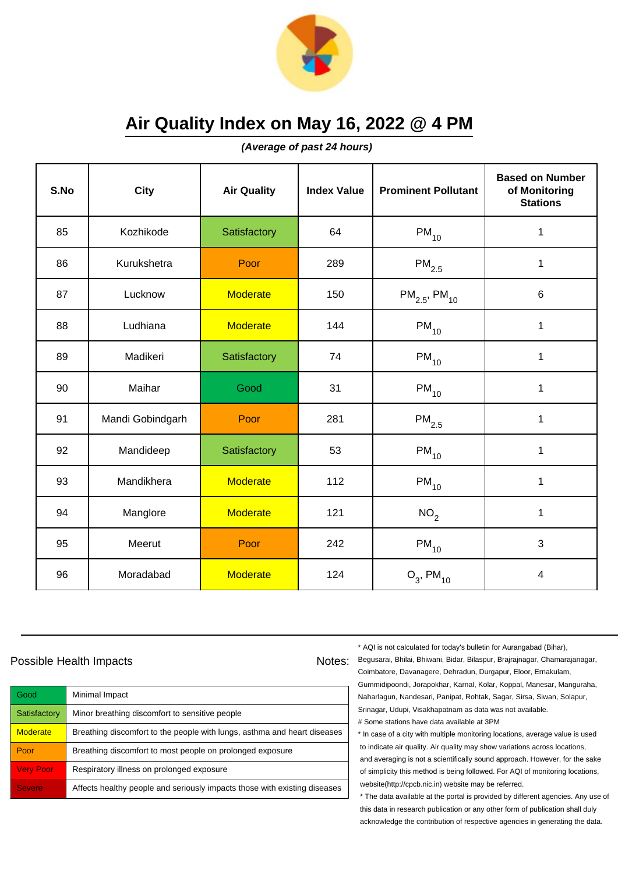

**(Average of past 24 hours)**

| S.No | <b>City</b>      | <b>Air Quality</b> | <b>Index Value</b> | <b>Prominent Pollutant</b>    | <b>Based on Number</b><br>of Monitoring<br><b>Stations</b> |
|------|------------------|--------------------|--------------------|-------------------------------|------------------------------------------------------------|
| 85   | Kozhikode        | Satisfactory       | 64                 | $PM_{10}$                     | 1                                                          |
| 86   | Kurukshetra      | Poor               | 289                | $\mathsf{PM}_{2.5}$           | 1                                                          |
| 87   | Lucknow          | <b>Moderate</b>    | 150                | $PM_{2.5}$ , PM <sub>10</sub> | 6                                                          |
| 88   | Ludhiana         | <b>Moderate</b>    | 144                | $PM_{10}$                     | 1                                                          |
| 89   | Madikeri         | Satisfactory       | 74                 | $PM_{10}$                     | $\mathbf{1}$                                               |
| 90   | Maihar           | Good               | 31                 | $PM_{10}$                     | 1                                                          |
| 91   | Mandi Gobindgarh | Poor               | 281                | $\mathsf{PM}_{2.5}$           | 1                                                          |
| 92   | Mandideep        | Satisfactory       | 53                 | $PM_{10}$                     | 1                                                          |
| 93   | Mandikhera       | <b>Moderate</b>    | 112                | $PM_{10}$                     | 1                                                          |
| 94   | Manglore         | <b>Moderate</b>    | 121                | NO <sub>2</sub>               | $\mathbf{1}$                                               |
| 95   | Meerut           | Poor               | 242                | $PM_{10}$                     | 3                                                          |
| 96   | Moradabad        | <b>Moderate</b>    | 124                | $O_3$ , PM <sub>10</sub>      | $\overline{4}$                                             |

## Possible Health Impacts

| Good             | Minimal Impact                                                            |
|------------------|---------------------------------------------------------------------------|
| Satisfactory     | Minor breathing discomfort to sensitive people                            |
| <b>Moderate</b>  | Breathing discomfort to the people with lungs, asthma and heart diseases  |
| Poor             | Breathing discomfort to most people on prolonged exposure                 |
| <b>Very Poor</b> | Respiratory illness on prolonged exposure                                 |
| <b>Severe</b>    | Affects healthy people and seriously impacts those with existing diseases |

\* AQI is not calculated for today's bulletin for Aurangabad (Bihar),

Notes: Begusarai, Bhilai, Bhiwani, Bidar, Bilaspur, Brajrajnagar, Chamarajanagar, Coimbatore, Davanagere, Dehradun, Durgapur, Eloor, Ernakulam, Gummidipoondi, Jorapokhar, Karnal, Kolar, Koppal, Manesar, Manguraha, Naharlagun, Nandesari, Panipat, Rohtak, Sagar, Sirsa, Siwan, Solapur, Srinagar, Udupi, Visakhapatnam as data was not available. # Some stations have data available at 3PM

> \* In case of a city with multiple monitoring locations, average value is used to indicate air quality. Air quality may show variations across locations, and averaging is not a scientifically sound approach. However, for the sake of simplicity this method is being followed. For AQI of monitoring locations, website(http://cpcb.nic.in) website may be referred.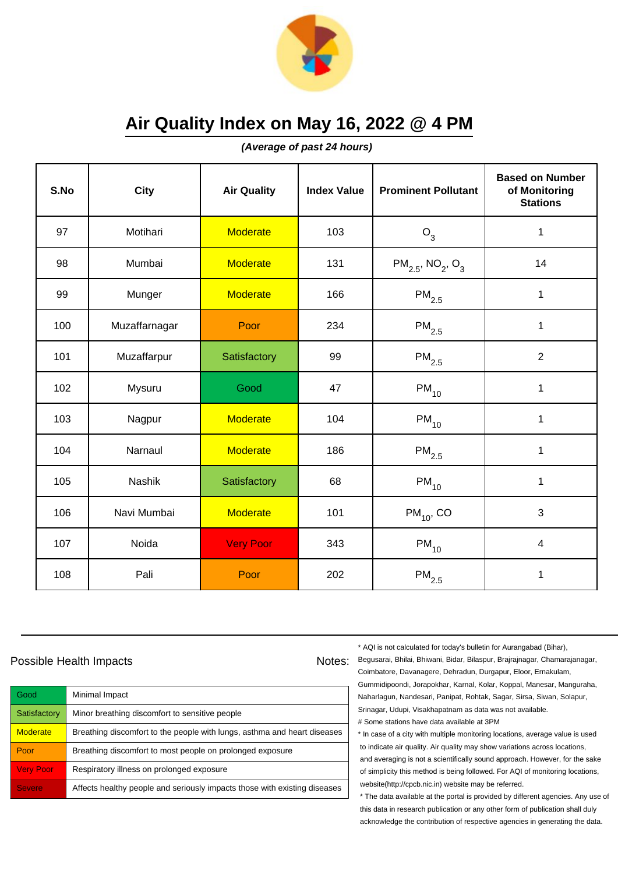

**(Average of past 24 hours)**

| S.No | <b>City</b>   | <b>Air Quality</b> | <b>Index Value</b> | <b>Prominent Pollutant</b>                    | <b>Based on Number</b><br>of Monitoring<br><b>Stations</b> |
|------|---------------|--------------------|--------------------|-----------------------------------------------|------------------------------------------------------------|
| 97   | Motihari      | <b>Moderate</b>    | 103                | $O_3$                                         | 1                                                          |
| 98   | Mumbai        | <b>Moderate</b>    | 131                | $PM_{2.5}$ , NO <sub>2</sub> , O <sub>3</sub> | 14                                                         |
| 99   | Munger        | <b>Moderate</b>    | 166                | $\mathsf{PM}_{2.5}$                           | 1                                                          |
| 100  | Muzaffarnagar | Poor               | 234                | $\mathsf{PM}_{2.5}$                           | 1                                                          |
| 101  | Muzaffarpur   | Satisfactory       | 99                 | $PM_{2.5}$                                    | $\overline{2}$                                             |
| 102  | Mysuru        | Good               | 47                 | $\mathsf{PM}_{10}$                            | 1                                                          |
| 103  | Nagpur        | <b>Moderate</b>    | 104                | $PM_{10}$                                     | 1                                                          |
| 104  | Narnaul       | <b>Moderate</b>    | 186                | $PM_{2.5}$                                    | 1                                                          |
| 105  | Nashik        | Satisfactory       | 68                 | $PM_{10}$                                     | 1                                                          |
| 106  | Navi Mumbai   | <b>Moderate</b>    | 101                | $PM_{10}$ , CO                                | 3                                                          |
| 107  | Noida         | <b>Very Poor</b>   | 343                | $PM_{10}$                                     | $\overline{4}$                                             |
| 108  | Pali          | Poor               | 202                | $\mathsf{PM}_{2.5}$                           | 1                                                          |

## Possible Health Impacts Notes:

Good Minimal Impact Satisfactory | Minor breathing discomfort to sensitive people  $M$ oderate  $\blacksquare$  Breathing discomfort to the people with lungs, asthma and heart diseases **Poor** Breathing discomfort to most people on prolonged exposure Very Poor Respiratory illness on prolonged exposure Severe **Affects healthy people and seriously impacts those with existing diseases**  \* AQI is not calculated for today's bulletin for Aurangabad (Bihar),

Begusarai, Bhilai, Bhiwani, Bidar, Bilaspur, Brajrajnagar, Chamarajanagar, Coimbatore, Davanagere, Dehradun, Durgapur, Eloor, Ernakulam, Gummidipoondi, Jorapokhar, Karnal, Kolar, Koppal, Manesar, Manguraha, Naharlagun, Nandesari, Panipat, Rohtak, Sagar, Sirsa, Siwan, Solapur, Srinagar, Udupi, Visakhapatnam as data was not available. # Some stations have data available at 3PM

\* In case of a city with multiple monitoring locations, average value is used to indicate air quality. Air quality may show variations across locations, and averaging is not a scientifically sound approach. However, for the sake of simplicity this method is being followed. For AQI of monitoring locations, website(http://cpcb.nic.in) website may be referred.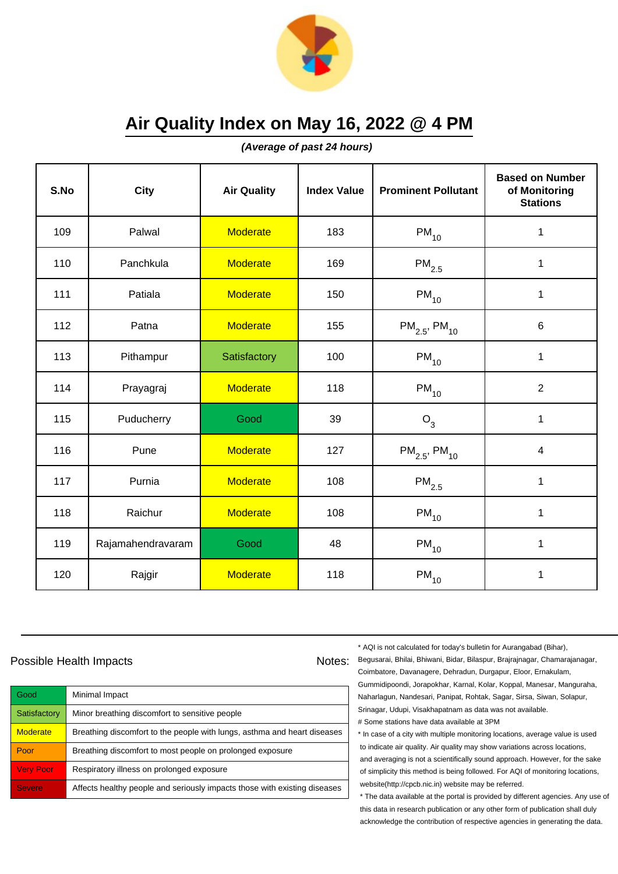

**(Average of past 24 hours)**

| S.No | City              | <b>Air Quality</b> | <b>Index Value</b> | <b>Prominent Pollutant</b>    | <b>Based on Number</b><br>of Monitoring<br><b>Stations</b> |
|------|-------------------|--------------------|--------------------|-------------------------------|------------------------------------------------------------|
| 109  | Palwal            | <b>Moderate</b>    | 183                | $PM_{10}$                     | 1                                                          |
| 110  | Panchkula         | <b>Moderate</b>    | 169                | $PM_{2.5}$                    | 1                                                          |
| 111  | Patiala           | <b>Moderate</b>    | 150                | $\mathsf{PM}_{10}$            | 1                                                          |
| 112  | Patna             | <b>Moderate</b>    | 155                | $PM_{2.5}$ , PM <sub>10</sub> | $6\phantom{1}$                                             |
| 113  | Pithampur         | Satisfactory       | 100                | $PM_{10}$                     | $\mathbf{1}$                                               |
| 114  | Prayagraj         | <b>Moderate</b>    | 118                | $PM_{10}$                     | $\overline{2}$                                             |
| 115  | Puducherry        | Good               | 39                 | $O_3$                         | 1                                                          |
| 116  | Pune              | <b>Moderate</b>    | 127                | $PM_{2.5}$ , PM <sub>10</sub> | $\overline{4}$                                             |
| 117  | Purnia            | <b>Moderate</b>    | 108                | $PM_{2.5}$                    | $\mathbf 1$                                                |
| 118  | Raichur           | <b>Moderate</b>    | 108                | $PM_{10}$                     | 1                                                          |
| 119  | Rajamahendravaram | Good               | 48                 | $PM_{10}$                     | 1                                                          |
| 120  | Rajgir            | <b>Moderate</b>    | 118                | $\mathsf{PM}_{10}$            | 1                                                          |

## Possible Health Impacts

| Good                | Minimal Impact                                                            |
|---------------------|---------------------------------------------------------------------------|
| Satisfactory        | Minor breathing discomfort to sensitive people                            |
| <b>Moderate</b>     | Breathing discomfort to the people with lungs, asthma and heart diseases  |
| Poor                | Breathing discomfort to most people on prolonged exposure                 |
| <b>Very Poor</b>    | Respiratory illness on prolonged exposure                                 |
| Severe <sup>'</sup> | Affects healthy people and seriously impacts those with existing diseases |

\* AQI is not calculated for today's bulletin for Aurangabad (Bihar),

Notes: Begusarai, Bhilai, Bhiwani, Bidar, Bilaspur, Brajrajnagar, Chamarajanagar, Coimbatore, Davanagere, Dehradun, Durgapur, Eloor, Ernakulam, Gummidipoondi, Jorapokhar, Karnal, Kolar, Koppal, Manesar, Manguraha, Naharlagun, Nandesari, Panipat, Rohtak, Sagar, Sirsa, Siwan, Solapur, Srinagar, Udupi, Visakhapatnam as data was not available. # Some stations have data available at 3PM

> \* In case of a city with multiple monitoring locations, average value is used to indicate air quality. Air quality may show variations across locations, and averaging is not a scientifically sound approach. However, for the sake of simplicity this method is being followed. For AQI of monitoring locations, website(http://cpcb.nic.in) website may be referred.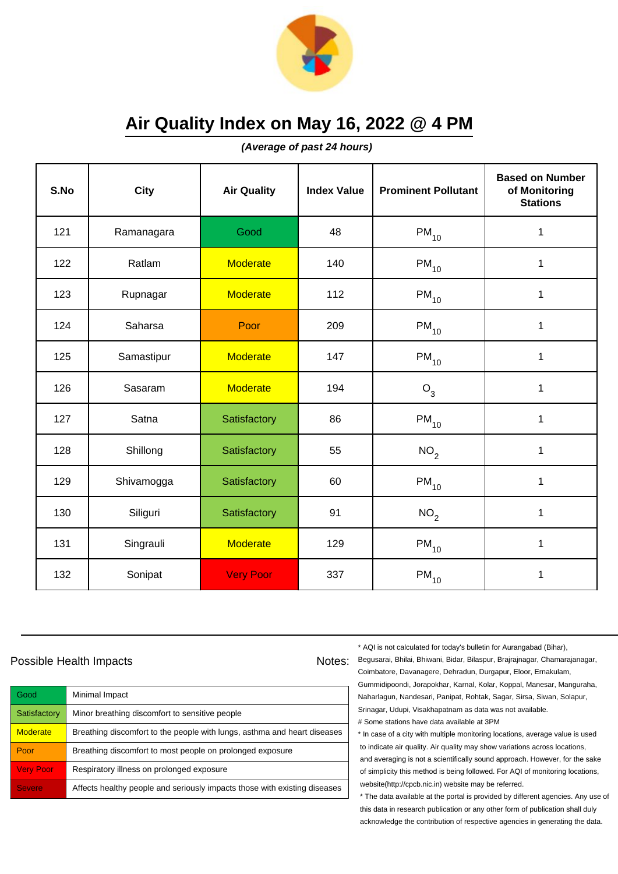

**(Average of past 24 hours)**

| S.No | <b>City</b> | <b>Air Quality</b> | <b>Index Value</b> | <b>Prominent Pollutant</b> | <b>Based on Number</b><br>of Monitoring<br><b>Stations</b> |
|------|-------------|--------------------|--------------------|----------------------------|------------------------------------------------------------|
| 121  | Ramanagara  | Good               | 48                 | $PM_{10}$                  | 1                                                          |
| 122  | Ratlam      | <b>Moderate</b>    | 140                | $PM_{10}$                  | 1                                                          |
| 123  | Rupnagar    | <b>Moderate</b>    | 112                | $\mathsf{PM}_{10}$         | 1                                                          |
| 124  | Saharsa     | Poor               | 209                | $PM_{10}$                  | 1                                                          |
| 125  | Samastipur  | <b>Moderate</b>    | 147                | $PM_{10}$                  | $\mathbf{1}$                                               |
| 126  | Sasaram     | <b>Moderate</b>    | 194                | $O_3$                      | 1                                                          |
| 127  | Satna       | Satisfactory       | 86                 | $PM_{10}$                  | 1                                                          |
| 128  | Shillong    | Satisfactory       | 55                 | NO <sub>2</sub>            | 1                                                          |
| 129  | Shivamogga  | Satisfactory       | 60                 | $PM_{10}$                  | $\mathbf{1}$                                               |
| 130  | Siliguri    | Satisfactory       | 91                 | NO <sub>2</sub>            | 1                                                          |
| 131  | Singrauli   | <b>Moderate</b>    | 129                | $PM_{10}$                  | 1                                                          |
| 132  | Sonipat     | <b>Very Poor</b>   | 337                | $\mathsf{PM}_{10}$         | 1                                                          |

## Possible Health Impacts

| Good             | Minimal Impact                                                            |
|------------------|---------------------------------------------------------------------------|
| Satisfactory     | Minor breathing discomfort to sensitive people                            |
| <b>Moderate</b>  | Breathing discomfort to the people with lungs, asthma and heart diseases  |
| Poor             | Breathing discomfort to most people on prolonged exposure                 |
| <b>Very Poor</b> | Respiratory illness on prolonged exposure                                 |
| <b>Severe</b>    | Affects healthy people and seriously impacts those with existing diseases |

\* AQI is not calculated for today's bulletin for Aurangabad (Bihar),

Notes: Begusarai, Bhilai, Bhiwani, Bidar, Bilaspur, Brajrajnagar, Chamarajanagar, Coimbatore, Davanagere, Dehradun, Durgapur, Eloor, Ernakulam, Gummidipoondi, Jorapokhar, Karnal, Kolar, Koppal, Manesar, Manguraha, Naharlagun, Nandesari, Panipat, Rohtak, Sagar, Sirsa, Siwan, Solapur, Srinagar, Udupi, Visakhapatnam as data was not available. # Some stations have data available at 3PM

> \* In case of a city with multiple monitoring locations, average value is used to indicate air quality. Air quality may show variations across locations, and averaging is not a scientifically sound approach. However, for the sake of simplicity this method is being followed. For AQI of monitoring locations, website(http://cpcb.nic.in) website may be referred.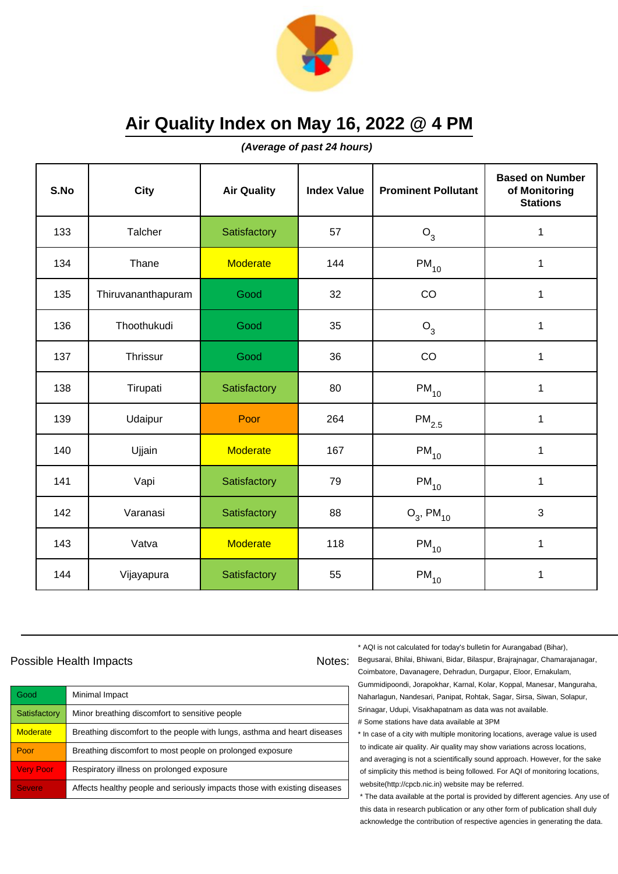

**(Average of past 24 hours)**

| S.No | City               | <b>Air Quality</b> | <b>Index Value</b> | <b>Prominent Pollutant</b> | <b>Based on Number</b><br>of Monitoring<br><b>Stations</b> |
|------|--------------------|--------------------|--------------------|----------------------------|------------------------------------------------------------|
| 133  | Talcher            | Satisfactory       | 57                 | $O_3$                      | 1                                                          |
| 134  | Thane              | <b>Moderate</b>    | 144                | $PM_{10}$                  | 1                                                          |
| 135  | Thiruvananthapuram | Good               | 32                 | CO                         | 1                                                          |
| 136  | Thoothukudi        | Good               | 35                 | O <sub>3</sub>             | 1                                                          |
| 137  | Thrissur           | Good               | 36                 | CO                         | $\mathbf{1}$                                               |
| 138  | Tirupati           | Satisfactory       | 80                 | $PM_{10}$                  | $\mathbf{1}$                                               |
| 139  | Udaipur            | Poor               | 264                | $\mathsf{PM}_{2.5}$        | $\mathbf{1}$                                               |
| 140  | Ujjain             | <b>Moderate</b>    | 167                | $PM_{10}$                  | 1                                                          |
| 141  | Vapi               | Satisfactory       | 79                 | $PM_{10}$                  | 1                                                          |
| 142  | Varanasi           | Satisfactory       | 88                 | $O_3$ , PM <sub>10</sub>   | 3                                                          |
| 143  | Vatva              | <b>Moderate</b>    | 118                | $PM_{10}$                  | 1                                                          |
| 144  | Vijayapura         | Satisfactory       | 55                 | $PM_{10}$                  | 1                                                          |

## Possible Health Impacts

| Good             | Minimal Impact                                                            |
|------------------|---------------------------------------------------------------------------|
| Satisfactory     | Minor breathing discomfort to sensitive people                            |
| <b>Moderate</b>  | Breathing discomfort to the people with lungs, asthma and heart diseases  |
| Poor             | Breathing discomfort to most people on prolonged exposure                 |
| <b>Very Poor</b> | Respiratory illness on prolonged exposure                                 |
| <b>Severe</b>    | Affects healthy people and seriously impacts those with existing diseases |

\* AQI is not calculated for today's bulletin for Aurangabad (Bihar),

Notes: Begusarai, Bhilai, Bhiwani, Bidar, Bilaspur, Brajrajnagar, Chamarajanagar, Coimbatore, Davanagere, Dehradun, Durgapur, Eloor, Ernakulam, Gummidipoondi, Jorapokhar, Karnal, Kolar, Koppal, Manesar, Manguraha, Naharlagun, Nandesari, Panipat, Rohtak, Sagar, Sirsa, Siwan, Solapur, Srinagar, Udupi, Visakhapatnam as data was not available. # Some stations have data available at 3PM

> \* In case of a city with multiple monitoring locations, average value is used to indicate air quality. Air quality may show variations across locations, and averaging is not a scientifically sound approach. However, for the sake of simplicity this method is being followed. For AQI of monitoring locations, website(http://cpcb.nic.in) website may be referred.